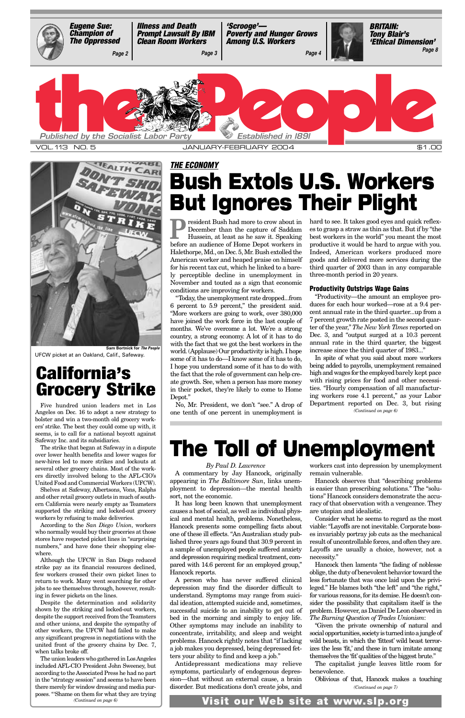**President Bush had more to crow about in December than the capture of Saddam Hussein, at least as he saw it. Speaking** December than the capture of Saddam Hussein, at least as he saw it. Speaking before an audience of Home Depot workers in Halethorpe, Md., on Dec. 5, Mr. Bush extolled the American worker and heaped praise on himself for his recent tax cut, which he linked to a barely perceptible decline in unemployment in November and touted as a sign that economic conditions are improving for workers.

"Today, the unemployment rate dropped...from 6 percent to 5.9 percent," the president said. "More workers are going to work, over 380,000 have joined the work force in the last couple of months. We've overcome a lot. We're a strong country, a strong economy. A lot of it has to do with the fact that we got the best workers in the world. (Applause) Our productivity is high. I hope some of it has to do—I know some of it has to do, I hope you understand some of it has to do with the fact that the role of government can help create growth. See, when a person has more money in their pocket, they're likely to come to Home Depot."

No, Mr. President, we don't "see." A drop of one tenth of one percent in unemployment is

hard to see. It takes good eyes and quick reflexes to grasp a straw as thin as that. But if by "the best workers in the world" you meant the most productive it would be hard to argue with you. Indeed, American workers produced more goods and delivered more services during the third quarter of 2003 than in any comparable three-month period in 20 years.

### **Productivity Outstrips Wage Gains**

"Productivity—the amount an employee produces for each hour worked—rose at a 9.4 percent annual rate in the third quarter...up from a 7 percent growth rate posted in the second quarter of the year," *The New York Times* reported on Dec. 3, and "output surged at a 10.3 percent annual rate in the third quarter, the biggest increase since the third quarter of 1983..."

### *THE ECONOMY* **Bush Extols U.S. Workers But Ignores Their Plight**

Five hundred union leaders met in Los Angeles on Dec. 16 to adopt a new strategy to bolster and win a two-month old grocery workers' strike. The best they could come up with, it seems, is to call for a national boycott against Safeway Inc. and its subsidiaries.

The strike that began at Safeway in a dispute over lower health benefits and lower wages for new-hires led to more strikes and lockouts at several other grocery chains. Most of the workers directly involved belong to the AFL-CIO's United Food and Commercial Workers (UFCW).

Shelves at Safeway, Albertsons, Vons, Ralphs and other retail grocery outlets in much of southern California were nearly empty as Teamsters supported the striking and locked-out grocery workers by refusing to make deliveries.

According to the *San Diego Union*, workers

who normally would buy their groceries at those stores have respected picket lines in "surprising numbers," and have done their shopping elsewhere.

Although the UFCW in San Diego reduced strike pay as its financial resources declined, few workers crossed their own picket lines to return to work. Many went searching for other jobs to see themselves through, however, resulting in fewer pickets on the lines.

Despite the determination and solidarity shown by the striking and locked-out workers, despite the support received from the Teamsters and other unions, and despite the sympathy of other workers, the UFCW had failed to make any significant progress in negotiations with the united front of the grocery chains by Dec. 7, when talks broke off.

### **California's Grocery Strike**

# **The Toll of Unemployment**

### *By Paul D. Lawrence*

A commentary by Jay Hancock, originally appearing in *The Baltimore Sun*, links unemployment to depression—the mental health sort, not the economic.

In spite of what you said about more workers being added to payrolls, unemployment remained high and wages for the employed barely kept pace with rising prices for food and other necessities. "Hourly compensation of all manufacturing workers rose 4.1 percent," as your Labor Department reported on Dec. 3, but rising *(Continued on page 6)*

<span id="page-0-0"></span>

It has long been known that unemployment causes a host of social, as well as individual physical and mental health, problems. Nonetheless, Hancock presents some compelling facts about one of these ill effects. "An Australian study published three years ago found that 30.9 percent in a sample of unemployed people suffered anxiety and depression requiring medical treatment, compared with 14.6 percent for an employed group," Hancock reports. A person who has never suffered clinical depression may find the disorder difficult to understand. Symptoms may range from suicidal ideation, attempted suicide and, sometimes, successful suicide to an inability to get out of bed in the morning and simply to enjoy life. Other symptoms may include an inability to concentrate, irritability, and sleep and weight problems. Hancock rightly notes that "if lacking a job makes you depressed, being depressed fetters your ability to find and keep a job." Antidepressant medications may relieve symptoms, particularly of endogenous depression—that without an external cause, a brain disorder. But medications don't create jobs, and

workers cast into depression by unemployment remain vulnerable.

The union leaders who gathered in Los Angeles included AFL-CIO President John Sweeney, but according to the Associated Press he had no part in the "strategy session" and seems to have been there merely for window dressing and media purposes. "'Shame on them for what they are trying *(Continued on page 6)*

Hancock observes that "describing problems is easier than prescribing solutions." The "solutions" Hancock considers demonstrate the accuracy of that observation with a vengeance. They are utopian and idealistic.

Consider what he seems to regard as the most iable: "Layoffs are not inevitable. Corporate boss es invariably portray job cuts as the mechanical result of uncontrollable forces, and often they are. Layoffs are usually a choice, however, not a necessity." Hancock then laments "the fading of noblesse oblige, the duty of benevolent behavior toward the less fortunate that was once laid upon the privileged." He blames both "the left" and "the right," for various reasons, for its demise. He doesn't consider the possibility that capitalism itself is the problem. However, as Daniel De Leon observed in *The Burning Question of Trades Unionism*: "Given the private ownership of natural and social opportunities, society is turned into a jungle of wild beasts, in which the 'fittest' wild beast terrorizes the less 'fit,' and these in turn imitate among themselves the 'fit'qualities of the biggest brute." The capitalist jungle leaves little room for benevolence.

Oblivious of that, Hancock makes a touching *(Continued on page 7)*

**Visit our Web site at www.slp.org**



**Sam Bortnick for** *The People* UFCW picket at an Oakland, Calif., Safeway.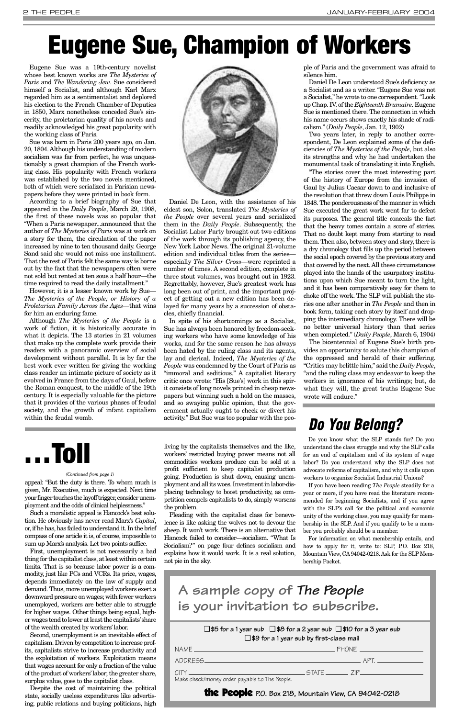appeal: "But the duty is there. To whom much is given, Mr. Executive, much is expected. Next time your finger touches the layoff trigger, consider unemployment and the odds of clinical helplessness."

Such a moralistic appeal is Hancock's best solution. He obviously has never read Marx's *Capital*, or, if he has, has failed to understand it. In the brief compass of one article it is, of course, impossible to sum up Marx's analysis. Let two points suffice. First, unemployment is not necessarily a bad thing for the capitalist class, at least within certain limits. That is so because labor power is a commodity, just like PCs and VCRs. Its price, wages, depends immediately on the law of supply and demand. Thus, more unemployed workers exert a downward pressure on wages; with fewer workers unemployed, workers are better able to struggle for higher wages. Other things being equal, higher wages tend to lower at least the capitalists'share of the wealth created by workers' labor. Second, unemployment is an inevitable effect of capitalism. Driven by competition to increase profits, capitalists strive to increase productivity and the exploitation of workers. Exploitation means that wages account for only a fraction of the value of the product of workers'labor; the greater share, surplus value, goes to the capitalist class.

Despite the cost of maintaining the political state, socially useless expenditures like advertising, public relations and buying politicians, high living by the capitalists themselves and the like, workers' restricted buying power means not all commodities workers produce can be sold at a profit sufficient to keep capitalist production going. Production is shut down, causing unemployment and all its woes. Investment in labor-displacing technology to boost productivity, as competition compels capitalists to do, simply worsens the problem.

Pleading with the capitalist class for benevolence is like asking the wolves not to devour the

sheep. It won't work. There is an alternative that Hancock failed to consider—socialism. "What Is Socialism?" on page four defines socialism and explains how it would work. It is a real solution, not pie in the sky.

Eugene Sue was a 19th-century novelist whose best known works are *The Mysteries of Paris* and *The Wandering Jew*. Sue considered himself a Socialist, and although Karl Marx regarded him as a sentimentalist and deplored his election to the French Chamber of Deputies in 1850, Marx nonetheless conceded Sue's sincerity, the proletarian quality of his novels and readily acknowledged his great popularity with the working class of Paris.

Sue was born in Paris 200 years ago, on Jan. 20, 1804. Although his understanding of modern socialism was far from perfect, he was unquestionably a great champion of the French working class. His popularity with French workers was established by the two novels mentioned, both of which were serialized in Parisian newspapers before they were printed in book form.

According to a brief biography of Sue that appeared in the *Daily People*, March 29, 1908, the first of these novels was so popular that "When a Paris newspaper...announced that the author of *The Mysteries of Paris* was at work on a story for them, the circulation of the paper increased by nine to ten thousand daily. George Sand said she would not miss one installment. That the rest of Paris felt the same way is borne out by the fact that the newspapers often were not sold but rented at ten sous a half hour—the time required to read the daily installment."

However, it is a lesser known work by Sue— *The Mysteries of the People; or History of a Proletarian Family Across the Ages*—that wins for him an enduring fame.

Although *The Mysteries of the People* is a work of fiction, it is historically accurate in what it depicts. The 13 stories in 21 volumes that make up the complete work provide their readers with a panoramic overview of social development without parallel. It is by far the best work ever written for giving the working class reader an intimate picture of society as it evolved in France from the days of Gaul, before the Roman conquest, to the middle of the 19th century. It is especially valuable for the picture that it provides of the various phases of feudal society, and the growth of infant capitalism within the feudal womb.



Daniel De Leon, with the assistance of his eldest son, Solon, translated *The Mysteries of the People* over several years and serialized them in the *Daily People*. Subsequently, the Socialist Labor Party brought out two editions of the work through its publishing agency, the New York Labor News. The original 21-volume edition and individual titles from the series especially *The Silver Cross*—were reprinted a number of times. A second edition, complete in three stout volumes, was brought out in 1923. Regrettably, however, Sue's greatest work has long been out of print, and the important project of getting out a new edition has been delayed for many years by a succession of obstacles, chiefly financial.

In spite of his shortcomings as a Socialist, Sue has always been honored by freedom-seeking workers who have some knowledge of his works, and for the same reason he has always been hated by the ruling class and its agents, lay and clerical. Indeed, *The Mysteries of the People* was condemned by the Court of Paris as "immoral and seditious." A capitalist literary critic once wrote: "His [Sue's] work in this spirit consists of long novels printed in cheap newspapers but winning such a hold on the masses, and so swaying public opinion, that the government actually ought to check or divert his activity." But Sue was too popular with the people of Paris and the government was afraid to silence him.

Daniel De Leon understood Sue's deficiency as a Socialist and as a writer. "Eugene Sue was not a Socialist," he wrote to one correspondent. "Look up Chap. IV. of the *Eighteenth Brumaire*. Eugene Sue is mentioned there. The connection in which his name occurs shows exactly his shade of radicalism." (*Daily People*, Jan. 12, 1902)

Two years later, in reply to another correspondent, De Leon explained some of the deficiencies of *The Mysteries of the People*, but also its strengths and why he had undertaken the monumental task of translating it into English.

"The stories cover the most interesting part of the history of Europe from the invasion of Gaul by Julius Caesar down to and inclusive of the revolution that threw down Louis Philippe in 1848. The ponderousness of the manner in which Sue executed the great work went far to defeat its purposes. The general title conceals the fact that the heavy tomes contain a score of stories. That no doubt kept many from starting to read them. Then also, between story and story, there is a dry chronology that fills up the period between the social epoch covered by the previous story and that covered by the next. All these circumstances played into the hands of the usurpatory institutions upon which Sue meant to turn the light, and it has been comparatively easy for them to choke off the work. The SLP will publish the stories one after another in *The People* and then in book form, taking each story by itself and dropping the intermediary chronology. There will be no better universal history than that series when completed." (*Daily People*, March 6, 1904)

The bicentennial of Eugene Sue's birth provides an opportunity to salute this champion of the oppressed and herald of their suffering. "Critics may belittle him," said the *Daily People*, "and the ruling class may endeavor to keep the workers in ignorance of his writings; but, do what they will, the great truths Eugene Sue wrote will endure."

# <span id="page-1-0"></span>**Eugene Sue, Champion of Workers**

### *Do You Belong?*

Do you know what the SLP stands for? Do you understand the class struggle and why the SLP calls for an end of capitalism and of its system of wage labor? Do you understand why the SLP does not advocate reforms of capitalism, and why it calls upon workers to organize Socialist Industrial Unions?

If you have been reading *The People* steadily for a year or more, if you have read the literature recommended for beginning Socialists, and if you agree with the SLP's call for the political and economic unity of the working class, you may qualify for membership in the SLP. And if you qualify to be a mem-

ber you probably should be a member.

For information on what membership entails, and how to apply for it, write to: SLP, P.O. Box 218, Mountain View, CA94042-0218. Ask for the SLP Membership Packet.



#### *(Continued from page 1)*

❑ **\$5 for a 1 year sub** ❑ **\$8 for a 2 year sub** ❑ **\$10 for a 3 year sub** ❑ **\$9 for a 1 year sub by first-class mail**

| NAME.                                         | PHONF THE         |
|-----------------------------------------------|-------------------|
| ADDRESS_                                      | APT               |
| CITY                                          | STATE <u>Land</u> |
| Make check/money order payable to The People. |                   |

the People **P.O. Box 218, Mountain View, CA 94042-0218**

**A sample copy of** *The People* **is your invitation to subscribe.**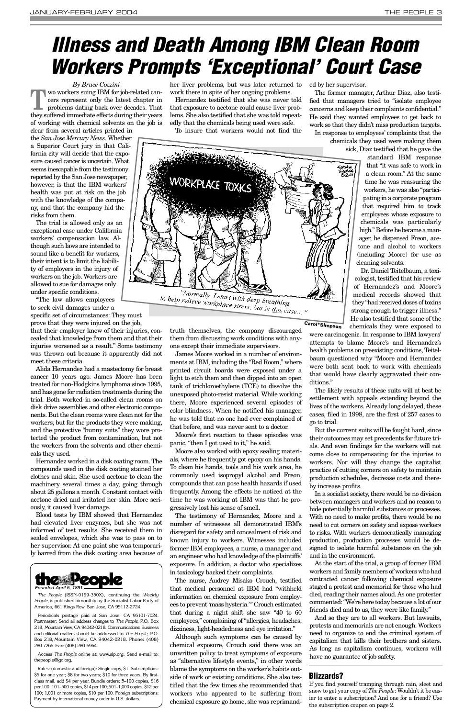*By Bruce Cozzini* **TEM** wo workers suing IBM for job-related can-<br>
problems dating back over decades. That cers represent only the latest chapter in they suffered immediate effects during their years of working with chemical solvents on the job is

clear from several articles printed in the *San Jose Mercury News*. Whether a Superior Court jury in that California city will decide that the exposure caused cancer is uncertain. What seems inescapable from the testimony reported by the San Jose newspaper, however, is that the IBM workers' health was put at risk on the job with the knowledge of the company, and that the company hid the risks from them.

The trial is allowed only as an exceptional case under California workers' compensation law. Although such laws are intended to sound like a benefit for workers, their intent is to limit the liability of employers in the injury of workers on the job. Workers are allowed to sue for damages only under specific conditions.

"The law allows employees to seek civil damages under a

specific set of circumstances: They must prove that they were injured on the job,

that their employer knew of their injuries, concealed that knowledge from them and that their injuries worsened as a result." Some testimony was thrown out because it apparently did not meet these criteria.

Alida Hernandez had a mastectomy for breast cancer 10 years ago. James Moore has been treated for non-Hodgkins lymphoma since 1995, and has gone for radiation treatments during the trial. Both worked in so-called clean rooms on disk drive assemblies and other electronic components. But the clean rooms were clean not for the workers, but for the products they were making, and the protective "bunny suits" they wore protected the product from contamination, but not the workers from the solvents and other chemicals they used.

Hernandez worked in a disk coating room. The compounds used in the disk coating stained her clothes and skin. She used acetone to clean the machinery several times a day, going through about 25 gallons a month. Constant contact with acetone dried and irritated her skin. More seriously, it caused liver damage.

Blood tests by IBM showed that Hernandez had elevated liver enzymes, but she was not informed of test results. She received them in sealed envelopes, which she was to pass on to her supervisor. At one point she was temporarily barred from the disk coating area because of her liver problems, but was later returned to work there in spite of her ongoing problems.

Hernandez testified that she was never told that exposure to acetone could cause liver problems. She also testified that she was told repeatedly that the chemicals being used were safe.

To insure that workers would not find the

truth themselves, the company discouraged them from discussing work conditions with anyone except their immediate supervisors.

James Moore worked in a number of environments at IBM, including the "Red Room," where printed circuit boards were exposed under a light to etch them and then dipped into an open tank of trichloroethylene (TCE) to dissolve the unexposed photo-resist material. While working there, Moore experienced several episodes of color blindness. When he notified his manager, he was told that no one had ever complained of that before, and was never sent to a doctor.

Moore's first reaction to these episodes was panic, "then I got used to it," he said.

Moore also worked with epoxy sealing materials, where he frequently got epoxy on his hands. To clean his hands, tools and his work area, he commonly used isopropyl alcohol and Freon, compounds that can pose health hazards if used frequently. Among the effects he noticed at the time he was working at IBM was that he progressively lost his sense of smell.

The testimony of Hernandez, Moore and a number of witnesses all demonstrated IBM's

disregard for safety and concealment of risk and known injury to workers. Witnesses included former IBM employees, a nurse, a manager and an engineer who had knowledge of the plaintiffs' exposure. In addition, a doctor who specializes in toxicology backed their complaints.

The nurse, Audrey Misako Crouch, testified that medical personnel at IBM had "withheld information on chemical exposure from employees to prevent 'mass hysteria.'" Crouch estimated that during a night shift she saw "40 to 60 employees," complaining of "allergies, headaches, dizziness, light-headedness and eye irritation."

Although such symptoms can be caused by chemical exposure, Crouch said there was an unwritten policy to treat symptoms of exposure as "alternative lifestyle events," in other words blame the symptoms on the worker's habits outside of work or existing conditions. She also testified that the few times she recommended that workers who appeared to be suffering from chemical exposure go home, she was reprimanded by her supervisor.

The former manager, Arthur Diaz, also testified that managers tried to "isolate employee concerns and keep their complaints confidential." He said they wanted employees to get back to work so that they didn't miss production targets.

In response to employees' complaints that the chemicals they used were making them

sick, Diaz testified that he gave the

standard IBM response that "it was safe to work in a clean room." At the same time he was reassuring the workers, he was also "participating in a corporate program that required him to track employees whose exposure to chemicals was particularly high." Before he became a manager, he dispensed Freon, acetone and alcohol to workers (including Moore) for use as cleaning solvents.

Dr. Daniel Teitelbaum, a toxicologist, testified that his review of Hernandez's and Moore's medical records showed that they "had received doses of toxins strong enough to trigger illness." He also testified that some of the chemicals they were exposed to



The likely results of these suits will at best be settlement with appeals extending beyond the lives of the workers. Already long delayed, these cases, filed in 1998, are the first of 257 cases to go to trial.

But the current suits will be fought hard, since their outcomes may set precedents for future trials. And even findings for the workers will not come close to compensating for the injuries to workers. Nor will they change the capitalist practice of cutting corners on safety to maintain production schedules, decrease costs and thereby increase profits.

In a socialist society, there would be no division between managers and workers and no reason to hide potentially harmful substances or processes. With no need to make profits, there would be no need to cut corners on safety and expose workers to risks. With workers democratically managing production, production processes would be designed to isolate harmful substances on the job and in the environment. At the start of the trial, a group of former IBM workers and family members of workers who had contracted cancer following chemical exposure staged a protest and memorial for those who had died, reading their names aloud. As one protester commented: "We're here today because a lot of our friends died and to us, they were like family." And so they are to all workers. But lawsuits, protests and memorials are not enough. Workers need to organize to end the criminal system of capitalism that kills their brothers and sisters. As long as capitalism continues, workers will have no guarantee of job safety.

were carcinogenic. In response to IBM lawyers' attempts to blame Moore's and Hernandez's health problems on preexisting conditions, Teitelbaum questioned why "Moore and Hernandez were both sent back to work with chemicals that would have clearly aggravated their conditions." **Carol\*SImpson**

## <span id="page-2-0"></span>*Illness and Death Among IBM Clean Room Workers Prompts 'Exceptional' Court Case*



*The People* (ISSN-0199-350X), continuing the *Weekly People*, is published bimonthly by the Socialist Labor Party of America, 661 Kings Row, San Jose, CA 95112-2724.

Periodicals postage paid at San Jose, CA 95101-7024. Postmaster: Send all address changes to *The People*, P.O. Box 218, Mountain View, CA 94042-0218. Communications: Business and editorial matters should be addressed to *The People*, P.O. Box 218, Mountain View, CA 94042-0218. Phone: (408) 280-7266. Fax: (408) 280-6964.

Access *The People* online at: www.slp.org. Send e-mail to: thepeople@igc.org.

Rates: (domestic and foreign): Single copy, \$1. Subscriptions: \$5 for one year; \$8 for two years; \$10 for three years. By firstclass mail, add \$4 per year. Bundle orders: 5–100 copies, \$16 per 100; 101–500 copies, \$14 per 100; 501–1,000 copies, \$12 per 100; 1,001 or more copies, \$10 per 100. Foreign subscriptions: Payment by international money order in U.S. dollars.

### **Blizzards?**

If you find yourself tramping through rain, sleet and snow to get your copy of *The People*: Wouldn't it be easier to enter a subscription? And one for a friend? Use the subscription coupon on page 2.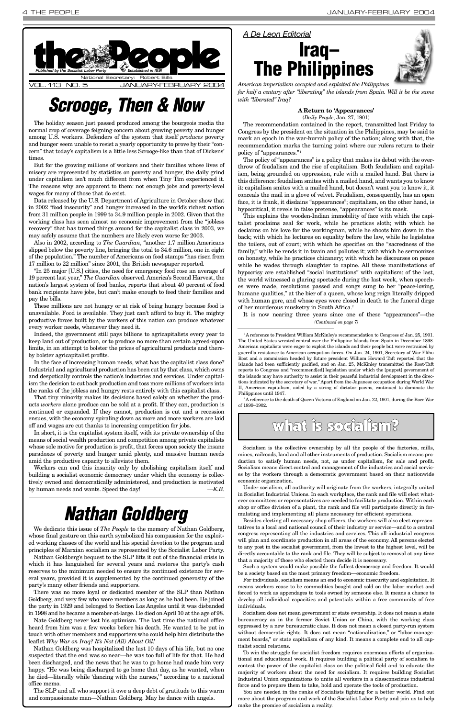The holiday season just passed produced among the bourgeois media the normal crop of coverage feigning concern about growing poverty and hunger among U.S. workers. Defenders of the system that itself *produces* poverty and hunger seem unable to resist a yearly opportunity to prove by their "concern" that today's capitalism is a little less Scrooge-like than that of Dickens' times.

But for the growing millions of workers and their families whose lives of misery are represented by statistics on poverty and hunger, the daily grind under capitalism isn't much different from when Tiny Tim experienced it. The reasons why are apparent to them: not enough jobs and poverty-level wages for many of those that do exist.

Data released by the U.S. Department of Agriculture in October show that in 2002 "food insecurity" and hunger increased in the world's richest nation from 31 million people in 1999 to 34.9 million people in 2002. Given that the working class has seen almost no economic improvement from the "jobless recovery" that has turned things around for the capitalist class in 2003, we may safely assume that the numbers are likely even worse for 2003.

Also in 2002, according to *The Guardian*, "another 1.7 million Americans slipped below the poverty line, bringing the total to 34.6 million, one in eight of the population." The number of Americans on food stamps "has risen from 17 million to 22 million" since 2001, the British newspaper reported.

"In 25 major [U.S.] cities, the need for emergency food rose an average of 19 percent last year," *The Guardian* observed. America's Second Harvest, the nation's largest system of food banks, reports that about 40 percent of food bank recipients have jobs, but can't make enough to feed their families and pay the bills.

These millions are not hungry or at risk of being hungry because food is unavailable. Food is available. They just can't afford to buy it. The mighty productive forces built by the workers of this nation can produce whatever every worker needs, whenever they need it.

Indeed, the government still pays billions to agricapitalists every year to keep land out of production, or to produce no more than certain agreed-upon limits, in an attempt to bolster the prices of agricultural products and thereby bolster agricapitalist profits.

In the face of increasing human needs, what has the capitalist class done? Industrial and agricultural production has been cut by that class, which owns and despotically controls the nation's industries and services. Under capitalism the decision to cut back production and toss more millions of workers into the ranks of the jobless and hungry rests entirely with this capitalist class.

<span id="page-3-0"></span>

That tiny minority makes its decisions based solely on whether the products *workers* alone produce can be sold at a profit. If they can, production is continued or expanded. If they cannot, production is cut and a recession ensues, with the economy spiraling down as more and more workers are laid off and wages are cut thanks to increasing competition for jobs.

In short, it is the capitalist system itself, with its private ownership of the means of social wealth production and competition among private capitalists whose sole motive for production is profit, that forces upon society the insane paradoxes of poverty and hunger amid plenty, and massive human needs amid the productive capacity to alleviate them.

Workers can end this insanity only by abolishing capitalism itself and building a socialist economic democracy under which the economy is collectively owned and democratically administered, and production is motivated by human needs and wants. Speed the day! *—K.B.*

**A Return to 'Appearances'** (*Daily People*, Jan. 27, 1901)

The recommendation contained in the report, transmitted last Friday to Congress by the president on the situation in the Philippines, may be said to mark an epoch in the war-hurrah policy of the nation; along with that, the recommendation marks the turning point where our rulers return to their policy of "appearances." <sup>1</sup>

The policy of "appearances" is a policy that makes its debut with the overthrow of feudalism and the rise of capitalism. Both feudalism and capitalism, being grounded on oppression, rule with a mailed hand. But there is this difference: feudalism smites with a mailed hand, and wants you to know it: capitalism smites with a mailed hand, but doesn't want you to know it, it conceals the mail in a glove of velvet. Feudalism, consequently, has an open face, it is frank, it disdains "appearances"; capitalism, on the other hand, is hypocritical, it revels in false pretense, "appearances" is its mask.

This explains the wooden-Indian immobility of face with which the capitalist proclaims zeal for work, while he practices sloth; with which he declaims on his love for the workingman, while he shoots him down in the back; with which he lectures on equality before the law, while he legislates the toilers, out of court; with which he specifies on the "sacredness of the family," while he rends it in twain and pollutes it; with which he sermonizes on honesty, while he practices chicanery; with which he discourses on peace while he wades through slaughter to rapine. All these manifestations of hypocrisy are established "social institutions" with capitalism: of the last, the world witnessed a glaring spectacle during the last week, when speeches were made, resolutions passed and songs sung to her "peace-loving, humane qualities," at the bier of a queen, whose long reign literally dripped with human gore, and whose eyes were closed in death to the funeral dirge of her murderous musketry in South Africa.2

<sup>1</sup> A reference to President William McKinley's recommendation to Congress of Jan. 25, 1901. The United States wrested control over the Philippine Islands from Spain in December 1898. American capitalists were eager to exploit the islands and their people but were restrained by guerrilla resistance to American occupation forces. On Jan. 24, 1901, Secretary of War Elihu Root and a commission headed by future president William Howard Taft reported that the islands had been sufficiently pacified, and on Jan. 25, McKinley transmitted the Root-Taft reports to Congress and "recommend[ed] legislation under which the [puppet] government of the islands may have authority to assist in their peaceful industrial development in the directions indicated by the secretary of war." Apart from the Japanese occupation during World War II, American capitalism, aided by a string of dictator pawns, continued to dominate the Philippines until 1947.

## *Scrooge, Then & Now*



<sup>2</sup> A reference to the death of Queen Victoria of England on Jan. 22, 1901, during the Boer War of 1899–1902.

*American imperialism occupied and exploited the Philippines for half a century after "liberating" the islands from Spain. Will it be the same*

*with "liberated" Iraq?*



### what is socialism?

Socialism is the collective ownership by all the people of the factories, mills, mines, railroads, land and all other instruments of production. Socialism means production to satisfy human needs, not, as under capitalism, for sale and profit. Socialism means direct control and management of the industries and social services by the workers through a democratic government based on their nationwide economic organization.

Under socialism, all authority will originate from the workers, integrally united in Socialist Industrial Unions. In each workplace, the rank and file will elect whatever committees or representatives are needed to facilitate production. Within each shop or office division of a plant, the rank and file will participate directly in formulating and implementing all plans necessary for efficient operations.

Besides electing all necessary shop officers, the workers will also elect representives to a local and national council of their industry or service—and to a central congress representing all the industries and services. This all-industrial congress will plan and coordinate production in all areas of the economy. All persons elected to any post in the socialist government, from the lowest to the highest level, will be directly accountable to the rank and file. They will be subject to removal at any time that a majority of those who elected them decide it is necessary.

Such a system would make possible the fullest democracy and freedom. It would be a society based on the most primary freedom—economic freedom.

For individuals, socialism means an end to economic insecurity and exploitation. It means workers cease to be commodities bought and sold on the labor market and forced to work as appendages to tools owned by someone else. It means a chance to develop all individual capacities and potentials within a free community of free individuals.

Socialism does not mean government or state ownership. It does not mean a state bureaucracy as in the former Soviet Union or China, with the working class oppressed by a new bureaucratic class. It does not mean a closed party-run system without democratic rights. It does not mean "nationalization," or "labor-management boards," or state capitalism of any kind. It means a complete end to all capitalist social relations.

To win the struggle for socialist freedom requires enormous efforts of organizational and educational work. It requires building a political party of socialism to contest the power of the capitalist class on the political field and to educate the majority of workers about the need for socialism. It requires building Socialist Industrial Union organizations to unite all workers in a classconscious industrial force and to prepare them to take, hold and operate the tools of production.

It is now nearing three years since one of these "appearances"—the *(Continued on page 7)*

You are needed in the ranks of Socialists fighting for a better world. Find out more about the program and work of the Socialist Labor Party and join us to help make the promise of socialism a reality.



We dedicate this issue of *The People* to the memory of Nathan Goldberg, whose final gesture on this earth symbolized his compassion for the exploited working classes of the world and his special devotion to the program and principles of Marxian socialism as represented by the Socialist Labor Party. Nathan Goldberg's bequest to the SLP lifts it out of the financial crisis in which it has languished for several years and restores the party's cash reserves to the minimum needed to ensure its continued existence for several years, provided it is supplemented by the continued generosity of the party's many other friends and supporters. There was no more loyal or dedicated member of the SLP than Nathan Goldberg, and very few who were members as long as he had been. He joined the party in 1929 and belonged to Section Los Angeles until it was disbanded in 1998 and he became a member-at-large. He died on April 10 at the age of 98. Nate Goldberg never lost his optimism. The last time the national office heard from him was a few weeks before his death. He wanted to be put in touch with other members and supporters who could help him distribute the leaflet *Why War on Iraq? It's Not (All) About Oil!* Nathan Goldberg was hospitalized the last 10 days of his life, but no one suspected that the end was so near—he was too full of life for that. He had been discharged, and the news that he was to go home had made him very happy. "He was being discharged to go home that day, as he wanted, when he died—literally while 'dancing with the nurses,'" according to a national office memo.

The SLP and all who support it owe a deep debt of gratitude to this warm and compassionate man—Nathan Goldberg. May he dance with angels.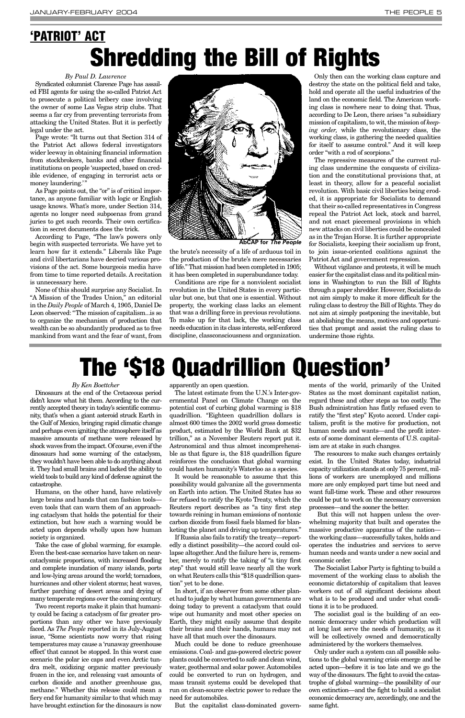### *By Paul D. Lawrence*

Syndicated columnist Clarence Page has assailed FBI agents for using the so-called Patriot Act to prosecute a political bribery case involving the owner of some Las Vegas strip clubs. That seems a far cry from preventing terrorists from attacking the United States. But it is perfectly legal under the act.

Page wrote: "It turns out that Section 314 of the Patriot Act allows federal investigators wider leeway in obtaining financial information from stockbrokers, banks and other financial institutions on people 'suspected, based on credible evidence, of engaging in terrorist acts or money laundering.'"

As Page points out, the "or" is of critical importance, as anyone familiar with logic or English usage knows. What's more, under Section 314, agents no longer need subpoenas from grand juries to get such records. Their own certification in secret documents does the trick.

According to Page, "The law's powers only begin with suspected terrorists. We have yet to learn how far it extends." Liberals like Page and civil libertarians have decried various provisions of the act. Some bourgeois media have from time to time reported details. A recitation is unnecessary here.

None of this should surprise any Socialist. In "A Mission of the Trades Union," an editorial in the *Daily People* of March 4, 1905, Daniel De Leon observed: "The mission of capitalism...is so to organize the mechanism of production that wealth can be so abundantly produced as to free mankind from want and the fear of want, from

the brute's necessity of a life of arduous toil in the production of the brute's mere necessaries of life." That mission had been completed in 1905; it has been completed in superabundance today.

Conditions are ripe for a nonviolent socialist revolution in the United States in every particular but one, but that one is essential. Without property, the working class lacks an element that was a drilling force in previous revolutions. To make up for that lack, the working class needs education in its class interests, self-enforced discipline, classconsciousness and organization.

Only then can the working class capture and destroy the state on the political field and take, hold and operate all the useful industries of the land on the economic field. The American working class is nowhere near to doing that. Thus, according to De Leon, there arises "a subsidiary mission of capitalism, to wit, the mission of *keeping order,* while the revolutionary class, the working class, is gathering the needed qualities for itself to assume control." And it will keep order "with a rod of scorpions."

The repressive measures of the current ruling class undermine the conquests of civilization and the constitutional provisions that, at least in theory, allow for a peaceful socialist revolution. With basic civil liberties being eroded, it is appropriate for Socialists to demand that their so-called representatives in Congress repeal the Patriot Act lock, stock and barrel, and not enact piecemeal provisions in which new attacks on civil liberties could be concealed as in the Trojan Horse. It is further appropriate for Socialists, keeping their socialism up front, to join issue-oriented coalitions against the Patriot Act and government repression.

Without vigilance and protests, it will be much easier for the capitalist class and its political minions in Washington to run the Bill of Rights through a paper shredder. However, Socialists do not aim simply to make it more difficult for the ruling class to destroy the Bill of Rights. They do not aim at simply postponing the inevitable, but at abolishing the means, motives and opportunities that prompt and assist the ruling class to undermine those rights.

## **'PATRIOT' ACT Shredding the Bill of Rights**

### *By Ken Boettcher*

Dinosaurs at the end of the Cretaceous period didn't know what hit them. According to the currently accepted theory in today's scientific community, that's when a giant asteroid struck Earth in the Gulf of Mexico, bringing rapid climatic change and perhaps even igniting the atmosphere itself as massive amounts of methane were released by shock waves from the impact. Of course, even if the dinosaurs had some warning of the cataclysm, they wouldn't have been able to do anything about it. They had small brains and lacked the ability to wield tools to build any kind of defense against the catastrophe.

Humans, on the other hand, have relatively large brains and hands that can fashion tools even tools that can warn them of an approaching cataclysm that holds the potential for their extinction, but how such a warning would be acted upon depends wholly upon how human society is organized. Take the case of global warming, for example. Even the best-case scenarios have taken on nearcataclysmic proportions, with increased flooding and complete inundation of many islands, ports and low-lying areas around the world; tornadoes, hurricanes and other violent storms; heat waves, further parching of desert areas and drying of many temperate regions over the coming century. Two recent reports make it plain that humanity could be facing a cataclysm of far greater proportions than any other we have previously faced. As *The People* reported in its July-August issue, "Some scientists now worry that rising temperatures may cause a 'runaway greenhouse effect' that cannot be stopped. In this worst case scenario the polar ice caps and even Arctic tundra melt, oxidizing organic matter previously frozen in the ice, and releasing vast amounts of carbon dioxide and another greenhouse gas, methane." Whether this release could mean a fiery end for humanity similar to that which may have brought extinction for the dinosaurs is now

apparently an open question.

The latest estimate from the U.N.'s Inter-governmental Panel on Climate Change on the potential cost of curbing global warming is \$18 quadrillion. "Eighteen quadrillion dollars is almost 600 times the 2002 world gross domestic product, estimated by the World Bank at \$32 trillion," as a November Reuters report put it. Astronomical and thus almost incomprehensible as that figure is, the \$18 quadrillion figure reinforces the conclusion that global warming could hasten humanity's Waterloo as a species.

It would be reasonable to assume that this possibility would galvanize all the governments on Earth into action. The United States has so far refused to ratify the Kyoto Treaty, which the Reuters report describes as "a tiny first step towards reining in human emissions of nontoxic carbon dioxide from fossil fuels blamed for blanketing the planet and driving up temperatures." If Russia also fails to ratify the treaty—reportedly a distinct possibility—the accord could collapse altogether. And the failure here is, remember, merely to ratify the taking of "a tiny first step" that would still leave nearly all the work on what Reuters calls this "\$18 quadrillion question" yet to be done. In short, if an observer from some other planet had to judge by what human governments are doing today to prevent a cataclysm that could wipe out humanity and most other species on Earth, they might easily assume that despite their brains and their hands, humans may not have all that much over the dinosaurs. Much could be done to reduce greenhouse emissions. Coal- and gas-powered electric power plants could be converted to safe and clean wind, water, geothermal and solar power. Automobiles could be converted to run on hydrogen, and mass transit systems could be developed that run on clean-source electric power to reduce the need for automobiles.

But the capitalist class-dominated govern-

ments of the world, primarily of the United States as the most dominant capitalist nation, regard these and other steps as too costly. The Bush administration has flatly refused even to ratify the "first step" Kyoto accord. Under capitalism, profit is the motive for production, not human needs and wants—and the profit interests of some dominant elements of U.S. capitalism are at stake in such changes.

The resources to make such changes certainly exist. In the United States today, industrial capacity utilization stands at only 75 percent, millions of workers are unemployed and millions more are only employed part time but need and want full-time work. These and other resources could be put to work on the necessary conversion processes—and the sooner the better.

But this will not happen unless the overwhelming majority that built and operates the massive productive apparatus of the nation the working class—successfully takes, holds and operates the industries and services to serve human needs and wants under a new social and economic order. The Socialist Labor Party is fighting to build a movement of the working class to abolish the economic dictatorship of capitalism that leaves workers out of all significant decisions about what is to be produced and under what conditions it is to be produced. The socialist goal is the building of an economic democracy under which production will at long last serve the needs of humanity, as it will be collectively owned and democratically administered by the workers themselves. Only under such a system can all possible solutions to the global warming crisis emerge and be acted upon—before it is too late and we go the way of the dinosaurs. The fight to avoid the catastrophe of global warming—the possibility of our own extinction—and the fight to build a socialist economic democracy are, accordingly, one and the same fight.

## **The '\$18 Quadrillion Question'**



**AbCAP for** *The People*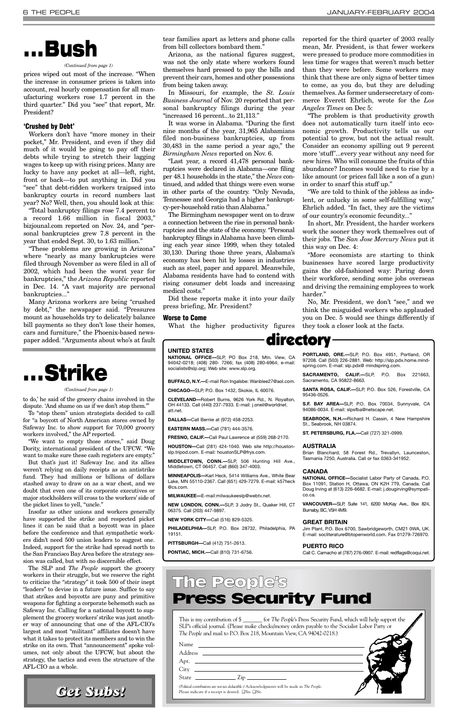prices wiped out most of the increase. "When the increase in consumer prices is taken into account, real hourly compensation for all manufacturing workers rose 1.7 percent in the third quarter." Did you "see" that report, Mr. President?

### **'Crushed by Debt'**

Workers don't have "more money in their pocket," Mr. President, and even if they did much of it would be going to pay off their debts while trying to stretch their lagging wages to keep up with rising prices. Many are lucky to have any pocket at all—left, right, front or back—to put anything in. Did you "see" that debt-ridden workers traipsed into bankruptcy courts in record numbers last year? No? Well, then, you should look at this:

"Total bankruptcy filings rose 7.4 percent to a record 1.66 million in fiscal 2003," bizjounal.com reported on Nov. 24, and "personal bankruptcies grew 7.8 percent in the year that ended Sept. 30, to 1.63 million."

"These problems are growing in Arizona" where "nearly as many bankruptcies were filed through November as were filed in all of 2002, which had been the worst year for bankruptcies," the *Arizona Republic* reported in Dec. 14. "A vast majority are personal bankruptcies..."

Many Arizona workers are being "crushed by debt," the newspaper said. "Pressures mount as households try to delicately balance bill payments so they don't lose their homes, cars and furniture," the Phoenix-based newspaper added. "Arguments about who's at fault tear families apart as letters and phone calls from bill collectors bombard them."

Arizona, as the national figures suggest, was not the only state where workers found themselves hard pressed to pay the bills and prevent their cars, homes and other possessions from being taken away.

In Missouri, for example, the *St. Louis Business Journal* of Nov. 20 reported that personal bankruptcy filings during the year "increased 16 percent...to 21,113."

It was worse in Alabama. "During the first nine months of the year, 31,965 Alabamians filed non-business bankruptcies, up from 30,483 in the same period a year ago," the *Birmingham News* reported on Nov. 6.

"Last year, a record 41,478 personal bankruptcies were declared in Alabama—one filing per 48.1 households in the state," the *News* continued, and added that things were even worse in other parts of the country. "Only Nevada, Tennessee and Georgia had a higher bankruptcy-per-household ratio than Alabama."

The Birmingham newspaper went on to draw a connection between the rise in personal bankruptcies and the state of the economy. "Personal bankruptcy filings in Alabama have been climbing each year since 1999, when they totaled 30,130. During those three years, Alabama's economy has been hit by losses in industries such as steel, paper and apparel. Meanwhile, Alabama residents have had to contend with rising consumer debt loads and increasing medical costs."

Did these reports make it into your daily press briefing, Mr. President?

### **Worse to Come**

What the higher productivity figures

reported for the third quarter of 2003 really mean, Mr. President, is that fewer workers were pressed to produce more commodities in less time for wages that weren't much better than they were before. Some workers may think that these are only signs of better times to come, as you do, but they are deluding themselves. As former undersecretary of commerce Everett Ehrlich, wrote for the *Los Angeles Times* on Dec 5:

"The problem is that productivity growth does not automatically turn itself into economic growth. Productivity tells us our potential to grow, but not the actual result. Consider an economy spilling out 9 percent more 'stuff'...every year without any need for new hires. Who will consume the fruits of this abundance? Incomes would need to rise by a like amount (or prices fall like a son of a gun) in order to snarf this stuff up."

"We are told to think of the jobless as indolent, or unlucky in some self-fulfilling way," Ehrlich added. "In fact, they are the victims of our country's economic fecundity..."

In short, Mr. President, the harder workers work the sooner they work themselves out of their jobs. The *San Jose Mercury News* put it this way on Dec. 4:

"More economists are starting to think businesses have scored large productivity gains the old-fashioned way: Paring down their workforce, sending some jobs overseas and driving the remaining employees to work harder."

No, Mr. President, we don't "see," and we think the misguided workers who applauded you on Dec. 5 would see things differently if they took a closer look at the facts.

## **. . . Bush**

This is my contribution of \$ \_\_\_\_\_\_\_ for *The People*'s Press Security Fund, which will help support the SLP's official journal. (Please make checks/money orders payable to the Socialist Labor Party or *The People* and mail to P.O. Box 218, Mountain View, CA 94042-0218.)

| Name                                                                                                                                                                                                                                                                                                                         |  |
|------------------------------------------------------------------------------------------------------------------------------------------------------------------------------------------------------------------------------------------------------------------------------------------------------------------------------|--|
| Address                                                                                                                                                                                                                                                                                                                      |  |
| Apt.                                                                                                                                                                                                                                                                                                                         |  |
| City                                                                                                                                                                                                                                                                                                                         |  |
| State<br>$\frac{1}{2}$ $\frac{1}{2}$ $\frac{1}{2}$ $\frac{1}{2}$ $\frac{1}{2}$ $\frac{1}{2}$ $\frac{1}{2}$ $\frac{1}{2}$ $\frac{1}{2}$ $\frac{1}{2}$ $\frac{1}{2}$ $\frac{1}{2}$ $\frac{1}{2}$ $\frac{1}{2}$ $\frac{1}{2}$ $\frac{1}{2}$ $\frac{1}{2}$ $\frac{1}{2}$ $\frac{1}{2}$ $\frac{1}{2}$ $\frac{1}{2}$ $\frac{1}{2}$ |  |
| (Political contributions are not tax deductible.) Acknowledgments will be made in The People.<br>Please indicate if a receipt is desired: $\square$ Yes $\square$ No                                                                                                                                                         |  |

### The People's Press Security Fund

### directory

**UNITED STATES**

**NATIONAL OFFICE—**SLP, PO Box 218, Mtn. View, CA 94042-0218; (408) 280- 7266; fax (408) 280-6964; e-mail: socialists@slp.org; Web site: www.slp.org.

**BUFFALO, N.Y.—**E-mail Ron Ingalsbe: Wanblee27@aol.com.

**CHICAGO—**SLP, P.O. Box 1432, Skokie, IL 60076.

**CLEVELAND—**Robert Burns, 9626 York Rd., N. Royalton, OH 44133. Call (440) 237-7933. E-mail: j.oneil@worldnet. att.net.

**DALLAS—**Call Bernie at (972) 458-2253.

**EASTERN MASS.—**Call (781) 444-3576.

**FRESNO, CALIF.—**Call Paul Lawrence at (559) 268-2170.

**HOUSTON—**Call (281) 424-1040. Web site http://houstonslp.tripod.com. E-mail: houstonSLP@frys.com.

**MIDDLETOWN, CONN.—**SLP, 506 Hunting Hill Ave., Middletown, CT 06457. Call (860) 347-4003.

**MINNEAPOLIS—**Karl Heck, 5414 Williams Ave., White Bear Lake, MN 55110-2367. Call (651) 429-7279. E-mail: k57heck @cs.com.

**MILWAUKEE—**E-mail:milwaukeeslp@webtv.net.

**NEW LONDON, CONN.—**SLP, 3 Jodry St., Quaker Hill, CT 06375. Call (203) 447-9897.

**NEW YORK CITY—**Call (516) 829-5325.

**PHILADELPHIA—**SLP, P.O. Box 28732, Philadelphia, PA 19151.

**PITTSBURGH—**Call (412) 751-2613.

**PONTIAC, MICH.—**Call (810) 731-6756.

**PORTLAND, ORE.—**SLP, P.O. Box 4951, Portland, OR 97208. Call (503) 226-2881. Web: http://slp.pdx.home.mindspring.com. E-mail: slp.pdx@ mindspring.com.

**SACRAMENTO, CALIF.—**SLP, P.O. Box 221663, Sacramento, CA 95822-8663.

**SANTA ROSA, CALIF.—**SLP, P.O. Box 526, Forestville, CA 95436-0526.

**S.F. BAY AREA—**SLP, P.O. Box 70034, Sunnyvale, CA 94086-0034. E-mail: slpsfba@netscape.net.

**SEABROOK, N.H.—**Richard H. Cassin, 4 New Hampshire St., Seabrook, NH 03874.

**ST. PETERSBURG, FLA.—**Call (727) 321-0999.

#### **AUSTRALIA**

Brian Blanchard, 58 Forest Rd., Trevallyn, Launceston, Tasmania 7250, Australia. Call or fax 0363-341952.

#### **CANADA**

**NATIONAL OFFICE—**Socialist Labor Party of Canada, P.O. Box 11091, Station H, Ottawa, ON K2H 7T9, Canada. Call Doug Irving at (613) 226-6682. E-mail: j.dougirving@sympatico.ca.

**VANCOUVER—**SLP, Suite 141, 6200 McKay Ave., Box 824, Burnaby, BC, V5H 4M9.

**GREAT BRITAIN**

Jim Plant, P.O. Box 6700, Sawbridgeworth, CM21 0WA, UK. E-mail: socliterature@btopenworld.com. Fax 01279-726970.

### **PUERTO RICO**

Call C. Camacho at (787) 276-0907. E-mail: redflags@coqui.net.

#### *(Continued from page 1)*



*(Continued from page 1)*

to do,' he said of the grocery chains involved in the dispute. 'And shame on us if we don't stop them.'"

To "stop them" union strategists decided to call for "a boycott of North American stores owned by Safeway Inc. to show support for 70,000 grocery workers involved," the AP reported.

"We want to empty those stores," said Doug Dority, international president of the UFCW. "We want to make sure these cash registers are empty."

But that's just it! Safeway Inc. and its allies weren't relying on daily receipts as an antistrike fund. They had millions or billions of dollars stashed away to draw on as a war chest, and we doubt that even one of its corporate executives or major stockholders will cross to the workers' side of the picket lines to yell, "uncle."

Insofar as other unions and workers generally have supported the strike and respected picket lines it can be said that a boycott was in place before the conference and that sympathetic workers didn't need 500 union leaders to suggest one. Indeed, support for the strike had spread north to the San Francisco Bay Area before the strategy session was called, but with no discernible effect. The SLP and *The People* support the grocery workers in their struggle, but we reserve the right to criticize the "strategy" it took 500 of their inept "leaders" to devise in a future issue. Suffice to say that strikes and boycotts are puny and primitive weapons for fighting a corporate behemoth such as Safeway Inc. Calling for a national boycott to supplement the grocery workers' strike was just another way of announcing that one of the AFL-CIO's largest and most "militant" affiliates doesn't have what it takes to protect its members and to win the strike on its own. That "announcement" spoke volumes, not only about the UFCW, but about the strategy, the tactics and even the structure of the AFL-CIO as a whole.

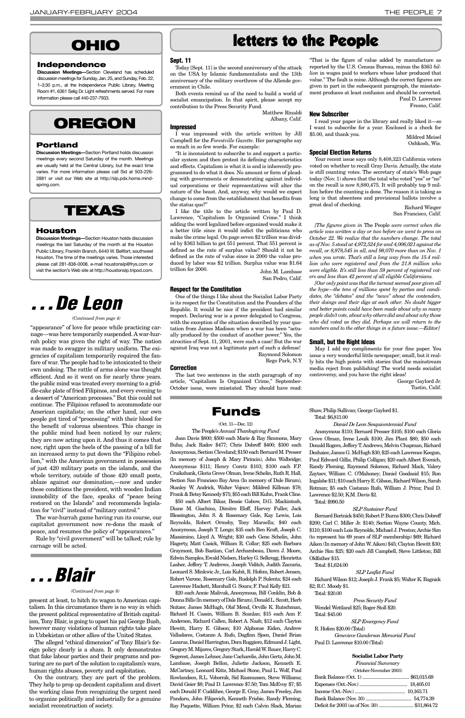### **Sept. 11**

Today [Sept. 11] is the second anniversary of the attack on the USA by Islamic fundamentalists and the 13th anniversary of the military overthrow of the Allende government in Chile.

Both events remind us of the need to build a world of socialist emancipation. In that spirit, please accept my contribution to the Press Security Fund.

Matthew Rinaldi

### Albany, Calif.

### **Impressed**

I was impressed with the article written by Jill Campbell for the *Forestville Gazette*. Her paragraphs say so much in so few words. For example:

I like the title to the article written by Paul D. Lawrence, "Capitalism Is Organized Crime." I think adding the word legalized before organized would make it a better title since it would indict the politicians who make the crime legal. On page seven \$2 trillion was divided by \$363 billion to get 551 percent. That 551 percent is defined as the rate of surplus value? Should it not be defined as the rate of value since in 2000 the value produced by labor was \$2 trillion. Surplus value was \$1.64 trillion for 2000. John M. Lambase

"It is inconsistent to subscribe to and support a particular system and then protest its defining characteristics and effects. Capitalism is what it is and is inherently programmed to do what it does. No amount or form of pleading with governments or demonstrating against individual corporations or their representatives will alter the nature of the beast. And, anyway, why would we expect change to come from the establishment that benefits from the status quo?"

San Pedro, Calif.

### **Respect for the Constitution**

One of the things I like about the Socialist Labor Party is its respect for the Constitution and the Founders of the Republic. It would be nice if the president had similar respect. Declaring war is a power delegated to Congress, with the exception of the situation described by your quotation from James Madison when a war has been "actually produced by the conduct of another power." Yes, the atrocities of Sept. 11, 2001, were such a case! But the war against Iraq was not a legitimate part of such a defense! Raymond Solomon

Rego Park, N.Y

### **Correction**

The last two sentences in the sixth paragraph of my article, "Capitalism Is Organized Crime," September-October issue, were misstated. They should have read:

"That is the figure of value added by manufacture as reported by the U.S. Census Bureau, minus the \$363 *billion* in wages paid to workers whose labor produced that value." The fault is mine. Although the correct figures are given in part in the subsequent paragraph, the misstatement produces at least confusion and should be corrected. Paul D. Lawrence Fresno, Calif.

### **New Subscriber**

I read your paper in the library and really liked it—so I want to subscribe for a year. Enclosed is a check for \$5.00, and thank you. Mildred Meisel

Oshkosh, Wis.

### **Special Election Returns**

Your recent issue says only 8,408,323 California voters voted on whether to recall Gray Davis. Actually, the state is still counting votes. The secretary of state's Web page today (Nov. 1) shows that the total who voted "yes" or "no" on the recall is now 8,880,475. It will probably top 9 million before the counting is done. The reason it is taking so long is that absentees and provisional ballots involve a great deal of checking. Richard Winger

San Francisco, Calif.

*[The figures given in* The People *were correct when the article was written a day or two before we went to press on October 22. We realize that the numbers change. The total as of Nov. 5 stood at 4,972,524 for and 4,006,021 against the recall, or 8,978,545 in all, and 98,070 more than on Nov. 1 when you wrote. That's still a long way from the 15.4 million who were registered and from the 21.8 million who were eligible. It's still less than 59 percent of registered voters and less than 42 percent of all eligible Californians.* 

*[Our only point was that the turnout seemed poor given all the hype—the tens of millions spent by parties and candidates, the "debates" and the "news" about the contenders, their doings and their digs at each other. No doubt bigger and better points could have been made about why so many people didn't vote, about why others did and about why those who did voted as they did. Perhaps we will return to the numbers and to the other things in a future issue.—Editor]*

### **Small, but the Right Ideas**

May I add my compliments for your fine paper. You issue a very wonderful little newspaper; small, but it really hits the high points with stories that the mainstream media reject from publishing! The world needs socialist controversy, and you have the right ideas!

> George Gaylord Jr. Tustin, Calif.

present at least, to hitch its wagon to American capitalism. In this circumstance there is no way in which the present political representative of British capitalism, Tony Blair, is going to upset his pal George Bush, however many violations of human rights take place in Uzbekistan or other allies of the United States.

The alleged "ethical dimension" of Tony Blair's foreign policy clearly is a sham. It only demonstrates that fake labour parties and their programs and posturing are no part of the solution to capitalism's wars, human rights abuses, poverty and exploitation.

On the contrary, they are part of the problem. They help to prop up decadent capitalism and divert the working class from recognizing the urgent need to organize politically and industrially for a genuine socialist reconstruction of society.

## *. . . Blair*

"appearance" of love for peace while practicing carnage—was here temporarily suspended. A war-hurrah policy was given the right of way. The nation was made to swagger in military uniform. The exigencies of capitalism temporarily required the fanfare of war. The people had to be intoxicated to their own undoing. The rattle of arms alone was thought efficient. And so it went on for nearly three years. the public mind was treated every morning to a griddle-cake plate of fried Filipinos, and every evening to a dessert of "American processes." But this could not continue. The Filipinos refused to accommodate our American capitalists; on the other hand, our own people got tired of "processing" with their blood for the benefit of valorous absentees. This change in the public mind had been noticed by our rulers; they are now acting upon it. And thus it comes that now, right upon the heels of the passing of a bill for an increased army to put down the "Filipino rebellion," with the American government in possession of just 420 military posts on the islands, and the whole territory, outside of those 420 small posts, ablaze against our domination,—now and under these conditions the president, with wooden Indian immobility of the face, speaks of "peace being restored on the Islands" and recommends legislation for "civil" instead of "military control."

The war-hurrah game having run its course, our capitalist government now re-dons the mask of

peace, and resumes the policy of "appearances." Rule by "civil government" will be talked; rule by carnage will be acted.

### letters to the People

### **OREGON**

### **Portland**

**Discussion Meetings—**Section Portland holds discussion meetings every second Saturday of the month. Meetings are usually held at the Central Library, but the exact time varies. For more information please call Sid at 503-226- 2881 or visit our Web site at http://slp.pdx.home.mindspring.com.

### **OHIO**

### **Independence**

**Discussion Meetings—**Section Cleveland has scheduled discussion meetings for Sunday, Jan. 25, and Sunday, Feb. 22, 1–3:30 p.m., at the Independence Public Library, Meeting Room #1, 6361 Selig Dr. Light refreshments served. For more information please call 440-237-7933.

### **TEXAS**

### **Houston**

**Discussion Meetings—**Section Houston holds discussion meetings the last Saturday of the month at the Houston Public LIbrary, Franklin Branch, 6440 W. Bellfort, southwest Houston. The time of the meetings varies. Those interested please call 281-838-0008, e-mail houstonslp@frys.com or visit the section's Web site at http://houstonslp.tripod.com.

#### *(Continued from page 8)*



#### *(Continued from page 4)*

### (Oct. 11—Dec. 12)

The People's *Annual Thanksgiving Fund* Joan Davis \$800; \$500 each Marie & Ray Simmons, Mary Buha; Jack Radov \$477; Chris Dobreff \$400; \$300 each Anonymous, Section Cleveland; \$150 each Bernard M. Presser (In memory of Joseph & Mary Pirincin), John Walbridge; Anonymous \$111; Henry Coretz \$103; \$100 each F.P. Cruikshank, Gloria Grove Olman, Irene Schelin, Ruth R. Hall, Section San Francisco Bay Area (In memory of Dale Birum), Stanley W. Andrick, Walter Vojnov; Mildred Killman \$78; Frank & Betsy Kennedy \$75; \$55 each Bill Kuhn, Frank Cline.

\$50 each Albert Bikar, Bessie Gabow, D.G. Mackintosh, Diane M. Giachino, Dimitre Eloff, Harvey Fuller, Jack Blessington, John S. & Rosemary Gale, Kay Lewis, Lois Reynolds, Robert Ormsby, Tony Marsella; \$40 each Anonymous, Joseph T. Longo; \$35 each Ben Kraft, Joseph C. Massimino, Lloyd A. Wright; \$30 each Gene Schelin, John Hagerty, Matt Casick, William R. Collar; \$25 each Barbara Graymont, Bob Bastian, Carl Archambeau, Dawn J. Moore, Edwin Samples, Ewald Nielsen, Harley G. Selkregg, Henrietta Lasher, Jeffery T. Andrews, Joseph Viditch, Judith Zaccaria, Leonard S. Minkwic Jr., Lois Kubit, R. Hofem, Robert Jensen, Robert Varone, Rosemary Gale, Rudolph P. Sulenta; \$24 each Lawrence Hackett, Marshall G. Soura; F. Paul Kelly \$21. \$20 each Annie Malivuk, Anonymous, Bill Conklin, Bob & Donna Bills (In memory of Dale Birum), Donald L. Sccott, Herb Snitzer, James McHugh, Olaf Mend, Orville K. Rutschman, Richard H. Cassin, William B. Scanlan; \$15 each Ann F. Anderson, Richard Callen, Robert A. Nash; \$12 each Clayton Hewitt, Harry E. Gibson; \$10 Alphonse Eiden, Andrew Valladares, Costanzo A. Rufo, Dagfinn Sjoen, Daniel Brian Lazarus, Daniel Harrington, Dora Ruggiero, Edmund J. Light, Gregory M. Mijares, Gregory Stark, Harold W. Bauer, Harry C. Segerest, James Lehner, Jane Cacharelis, John Gertz, John M. Lambase, Joseph Bellon, Juliette Jackson, Kenneth E. McCartney, Leonard Kitts, Michael Stone, Paul L. Wolf, Paul Rowlandson, R.L. Vobornik, Sid Rasmussen, Steve Williams; David Geier \$8; Paul D. Lawrence \$7.50; Tom McEvoy \$7; \$5 each Donald F. Cuddihee, George E. Gray, James Freeley, Jim Pandaru, John Filipovich, Kenneth Frisbie, Randy Fleming, Ray Paquette, William Prinz; \$2 each Calvin Slack, Marian Shaw, Philip Sullivan; George Gaylord \$1. Total: \$6,811.00

### *Daniel De Leon Sesquicentennial Fund*

Anonymous \$110; Bernard Presser \$105; \$100 each Gloria Grove Olman, Irene Louik \$100; Jim Plant \$80; \$50 each Donald Rogers, Jeffery T. Andrews, Melvin Chapman, Richard Deshaies; James G. McHugh \$30; \$25 each Lawrence Keegan, Paul Edward Gillis, Philip Colligan; \$20 each Albert Evenich, Randy Fleming, Raymond Solomon, Richard Mack, Valery Zaytsev, William C. O'Mahoney; Daniel Goodsaid \$15; Ron Ingalsbe \$11; \$10 each Harry E. Gibson, Richard Wilson, Sarah Rotman; \$5 each Costanzo Rufo, William J. Prinz; Paul D. Lawrence \$2.50; K.M. Davis \$2.

Total: \$990.50

### *SLP Sustainer Fund*

Bernard Bortnick \$450; Robert P. Burns \$300; Chris Dobreff \$200; Carl C. Miller Jr. \$140; Section Wayne County, Mich.

\$110; \$100 each Lois Reynolds, Michael J. Preston; Archie Sim (to represent his 69 years of SLP membership) \$69; Richard Aiken (In memory of John W. Aiken) \$45; Clayton Hewitt \$30; Archie Sim \$25; \$20 each Jill Campbell, Steve Littleton; Bill Oldfather \$15.

Total: \$1,624.00

#### *SLP Leaflet Fund*

Richard Wilson \$12; Joseph J. Frank \$5; Walter K. Bagnick \$2; R.C. Moody \$1.

Total: \$20.00

*Press Security Fund* Wendel Wettland \$25; Roger Stoll \$20. Total: \$45.00

*SLP Emergency Fund*

R. Hofem \$20.00 (Total)

*Genevieve Gunderson Memorial Fund* Paul D. Lawrence \$10.00 (Total)

#### **Socialist Labor Party**

*Financial Summary* (October-November 2003)

### **Funds**